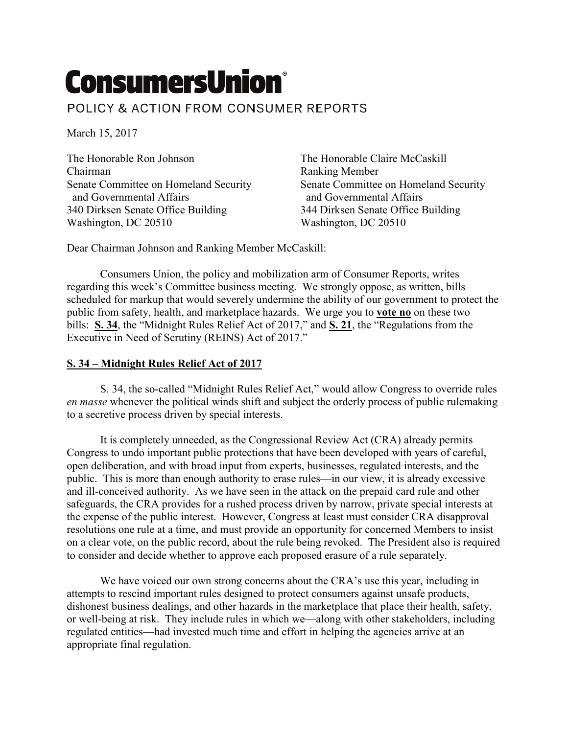## **ConsumersUnion®**

POLICY & ACTION FROM CONSUMER REPORTS

March 15, 2017

The Honorable Ron Johnson The Honorable Claire McCaskill Chairman Ranking Member and Governmental Affairs and Governmental Affairs 340 Dirksen Senate Office Building 344 Dirksen Senate Office Building Washington, DC 20510 Washington, DC 20510

Senate Committee on Homeland Security Senate Committee on Homeland Security

Dear Chairman Johnson and Ranking Member McCaskill:

Consumers Union, the policy and mobilization arm of Consumer Reports, writes regarding this week's Committee business meeting. We strongly oppose, as written, bills scheduled for markup that would severely undermine the ability of our government to protect the public from safety, health, and marketplace hazards. We urge you to **vote no** on these two bills: **S. 34**, the "Midnight Rules Relief Act of 2017," and **S. 21**, the "Regulations from the Executive in Need of Scrutiny (REINS) Act of 2017."

## **S. 34 – Midnight Rules Relief Act of 2017**

S. 34, the so-called "Midnight Rules Relief Act," would allow Congress to override rules *en masse* whenever the political winds shift and subject the orderly process of public rulemaking to a secretive process driven by special interests.

It is completely unneeded, as the Congressional Review Act (CRA) already permits Congress to undo important public protections that have been developed with years of careful, open deliberation, and with broad input from experts, businesses, regulated interests, and the public. This is more than enough authority to erase rules—in our view, it is already excessive and ill-conceived authority. As we have seen in the attack on the prepaid card rule and other safeguards, the CRA provides for a rushed process driven by narrow, private special interests at the expense of the public interest. However, Congress at least must consider CRA disapproval resolutions one rule at a time, and must provide an opportunity for concerned Members to insist on a clear vote, on the public record, about the rule being revoked. The President also is required to consider and decide whether to approve each proposed erasure of a rule separately.

We have voiced our own strong concerns about the CRA's use this year, including in attempts to rescind important rules designed to protect consumers against unsafe products, dishonest business dealings, and other hazards in the marketplace that place their health, safety, or well-being at risk. They include rules in which we—along with other stakeholders, including regulated entities—had invested much time and effort in helping the agencies arrive at an appropriate final regulation.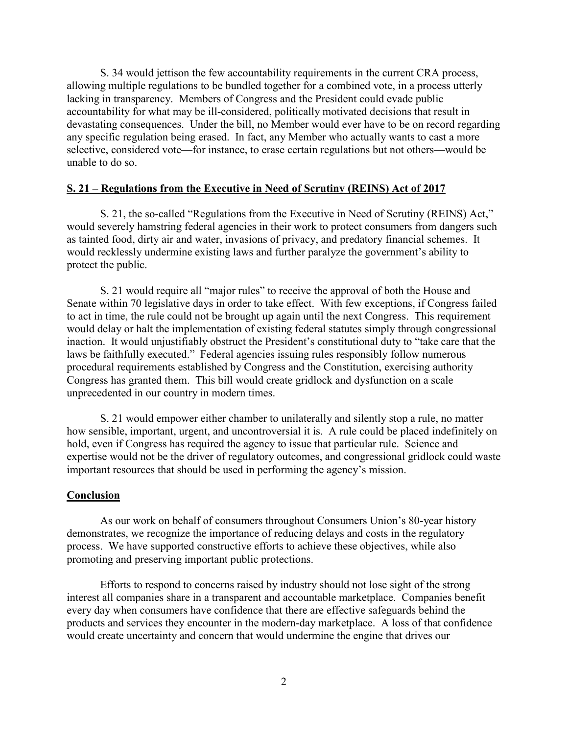S. 34 would jettison the few accountability requirements in the current CRA process, allowing multiple regulations to be bundled together for a combined vote, in a process utterly lacking in transparency. Members of Congress and the President could evade public accountability for what may be ill-considered, politically motivated decisions that result in devastating consequences. Under the bill, no Member would ever have to be on record regarding any specific regulation being erased. In fact, any Member who actually wants to cast a more selective, considered vote—for instance, to erase certain regulations but not others—would be unable to do so.

## **S. 21 – Regulations from the Executive in Need of Scrutiny (REINS) Act of 2017**

S. 21, the so-called "Regulations from the Executive in Need of Scrutiny (REINS) Act," would severely hamstring federal agencies in their work to protect consumers from dangers such as tainted food, dirty air and water, invasions of privacy, and predatory financial schemes. It would recklessly undermine existing laws and further paralyze the government's ability to protect the public.

S. 21 would require all "major rules" to receive the approval of both the House and Senate within 70 legislative days in order to take effect. With few exceptions, if Congress failed to act in time, the rule could not be brought up again until the next Congress. This requirement would delay or halt the implementation of existing federal statutes simply through congressional inaction. It would unjustifiably obstruct the President's constitutional duty to "take care that the laws be faithfully executed." Federal agencies issuing rules responsibly follow numerous procedural requirements established by Congress and the Constitution, exercising authority Congress has granted them. This bill would create gridlock and dysfunction on a scale unprecedented in our country in modern times.

S. 21 would empower either chamber to unilaterally and silently stop a rule, no matter how sensible, important, urgent, and uncontroversial it is. A rule could be placed indefinitely on hold, even if Congress has required the agency to issue that particular rule. Science and expertise would not be the driver of regulatory outcomes, and congressional gridlock could waste important resources that should be used in performing the agency's mission.

## **Conclusion**

As our work on behalf of consumers throughout Consumers Union's 80-year history demonstrates, we recognize the importance of reducing delays and costs in the regulatory process. We have supported constructive efforts to achieve these objectives, while also promoting and preserving important public protections.

Efforts to respond to concerns raised by industry should not lose sight of the strong interest all companies share in a transparent and accountable marketplace. Companies benefit every day when consumers have confidence that there are effective safeguards behind the products and services they encounter in the modern-day marketplace. A loss of that confidence would create uncertainty and concern that would undermine the engine that drives our